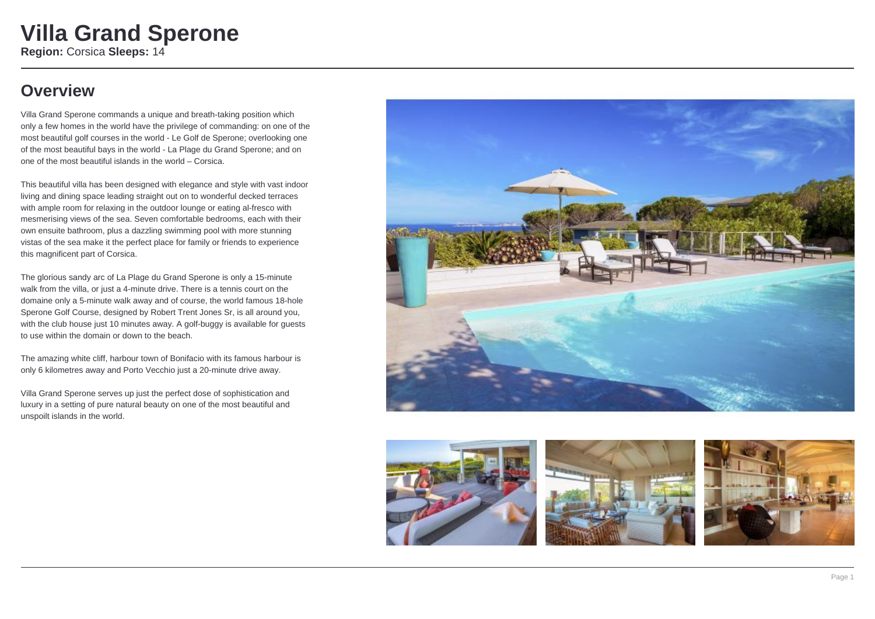## **Overview**

Villa Grand Sperone commands a unique and breath-taking position which only a few homes in the world have the privilege of commanding: on one of the most beautiful golf courses in the world - Le Golf de Sperone; overlooking one of the most beautiful bays in the world - La Plage du Grand Sperone; and on one of the most beautiful islands in the world – Corsica.

This beautiful villa has been designed with elegance and style with vast indoor living and dining space leading straight out on to wonderful decked terraces with ample room for relaxing in the outdoor lounge or eating al-fresco with mesmerising views of the sea. Seven comfortable bedrooms, each with their own ensuite bathroom, plus a dazzling swimming pool with more stunning vistas of the sea make it the perfect place for family or friends to experience this magnificent part of Corsica.

The glorious sandy arc of La Plage du Grand Sperone is only a 15-minute walk from the villa, or just a 4-minute drive. There is a tennis court on the domaine only a 5-minute walk away and of course, the world famous 18-hole Sperone Golf Course, designed by Robert Trent Jones Sr, is all around you, with the club house just 10 minutes away. A golf-buggy is available for quests to use within the domain or down to the beach.

The amazing white cliff, harbour town of Bonifacio with its famous harbour is only 6 kilometres away and Porto Vecchio just a 20-minute drive away.

Villa Grand Sperone serves up just the perfect dose of sophistication and luxury in a setting of pure natural beauty on one of the most beautiful and unspoilt islands in the world.



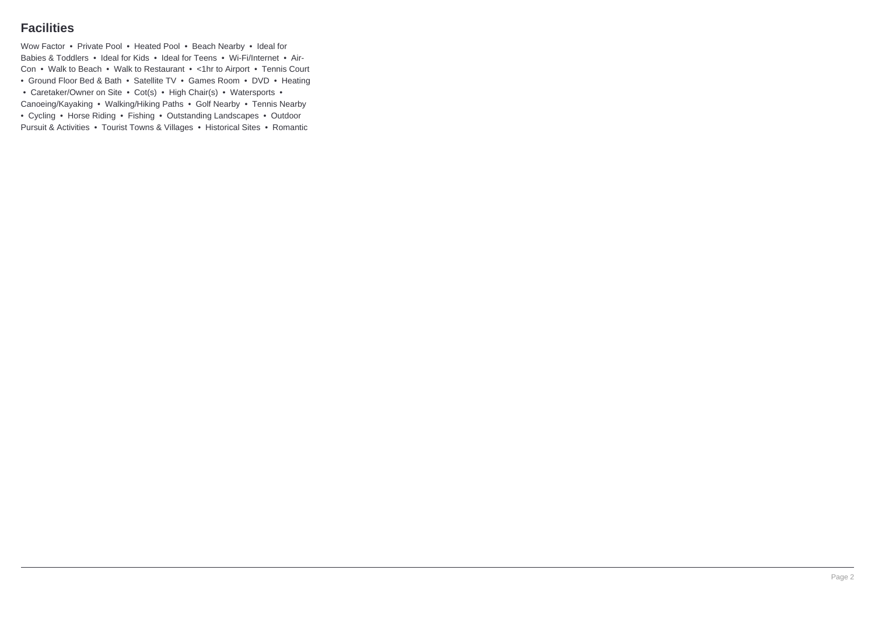### **Facilities**

Wow Factor • Private Pool • Heated Pool • Beach Nearby • Ideal for Babies & Toddlers • Ideal for Kids • Ideal for Teens • Wi-Fi/Internet • Air-Con • Walk to Beach • Walk to Restaurant • <1hr to Airport • Tennis Court • Ground Floor Bed & Bath • Satellite TV • Games Room • DVD • Heating • Caretaker/Owner on Site • Cot(s) • High Chair(s) • Watersports • Canoeing/Kayaking • Walking/Hiking Paths • Golf Nearby • Tennis Nearby

• Cycling • Horse Riding • Fishing • Outstanding Landscapes • Outdoor Pursuit & Activities • Tourist Towns & Villages • Historical Sites • Romantic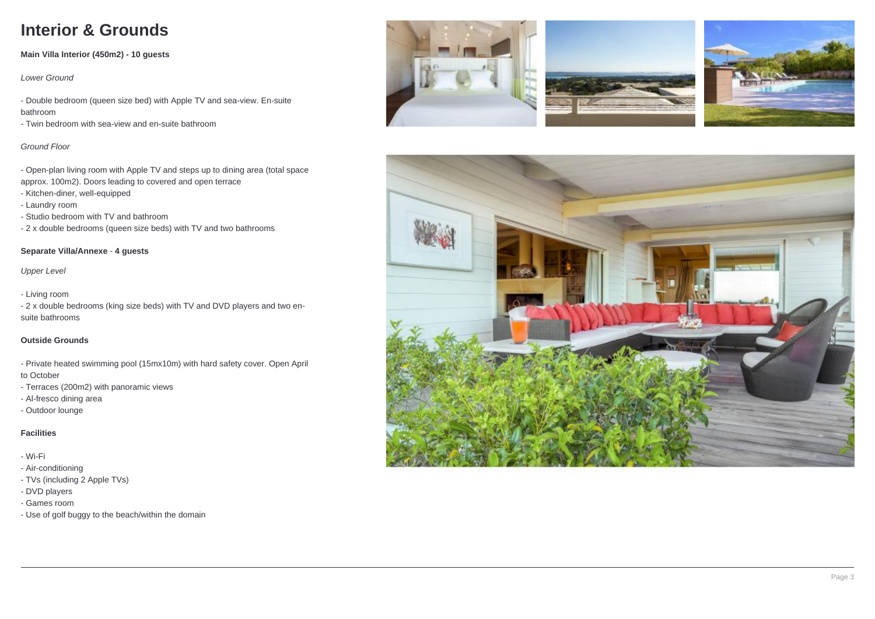# **Interior & Grounds**

### **Main Villa Interior (450m2) - 10 guests**

Lower Ground

- Double bedroom (queen size bed) with Apple TV and sea-view. En-suite bathroom

- Twin bedroom with sea-view and en-suite bathroom

#### Ground Floor

- Open-plan living room with Apple TV and steps up to dining area (total space approx. 100m2). Doors leading to covered and open terrace

- Kitchen-diner, well-equipped
- Laundry room
- Studio bedroom with TV and bathroom
- 2 x double bedrooms (queen size beds) with TV and two bathrooms

#### **Separate Villa/Annexe** - **4 guests**

Upper Level

- Living room

- 2 x double bedrooms (king size beds) with TV and DVD players and two ensuite bathrooms

#### **Outside Grounds**

- Private heated swimming pool (15mx10m) with hard safety cover. Open April to October

- Terraces (200m2) with panoramic views
- Al-fresco dining area
- Outdoor lounge

### **Facilities**

- Wi-Fi
- Air-conditioning
- TVs (including 2 Apple TVs)
- DVD players
- Games room
- Use of golf buggy to the beach/within the domain







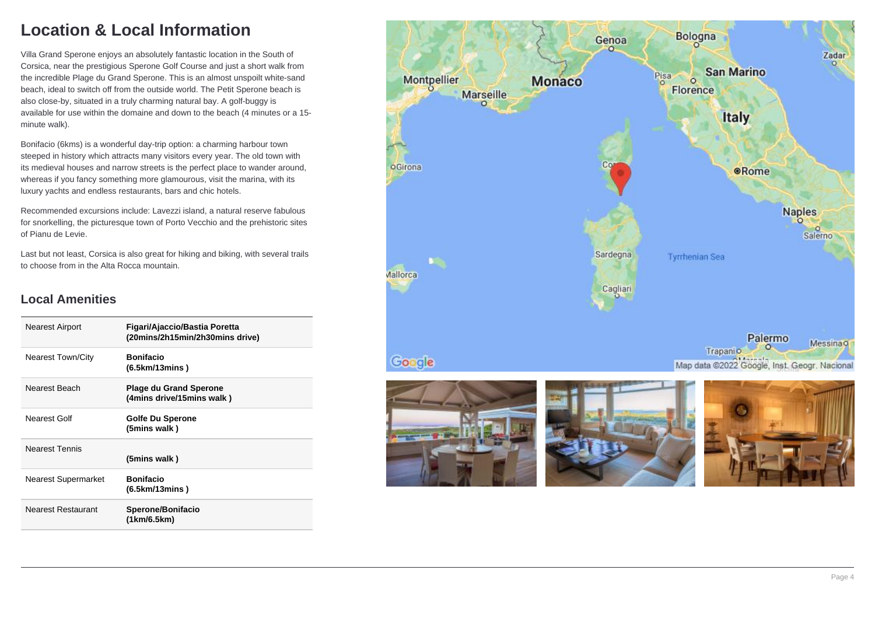## **Location & Local Information**

Villa Grand Sperone enjoys an absolutely fantastic location in the South of Corsica, near the prestigious Sperone Golf Course and just a short walk from the incredible Plage du Grand Sperone. This is an almost unspoilt white-sand beach, ideal to switch off from the outside world. The Petit Sperone beach is also close-by, situated in a truly charming natural bay. A golf-buggy is available for use within the domaine and down to the beach (4 minutes or a 15 minute walk).

Bonifacio (6kms) is a wonderful day-trip option: a charming harbour town steeped in history which attracts many visitors every year. The old town with its medieval houses and narrow streets is the perfect place to wander around, whereas if you fancy something more glamourous, visit the marina, with its luxury yachts and endless restaurants, bars and chic hotels.

Recommended excursions include: Lavezzi island, a natural reserve fabulous for snorkelling, the picturesque town of Porto Vecchio and the prehistoric sites of Pianu de Levie.

Last but not least, Corsica is also great for hiking and biking, with several trails to choose from in the Alta Rocca mountain.

### **Local Amenities**

| <b>Nearest Airport</b>   | Figari/Ajaccio/Bastia Poretta<br>(20mins/2h15min/2h30mins drive) |
|--------------------------|------------------------------------------------------------------|
| <b>Nearest Town/City</b> | <b>Bonifacio</b><br>(6.5km/13mins)                               |
| Nearest Beach            | <b>Plage du Grand Sperone</b><br>(4mins drive/15mins walk)       |
| Nearest Golf             | Golfe Du Sperone<br>(5mins walk)                                 |
| <b>Nearest Tennis</b>    | (5mins walk)                                                     |
| Nearest Supermarket      | <b>Bonifacio</b><br>(6.5km/13 mins)                              |
| Nearest Restaurant       | Sperone/Bonifacio<br>(1km/6.5km)                                 |

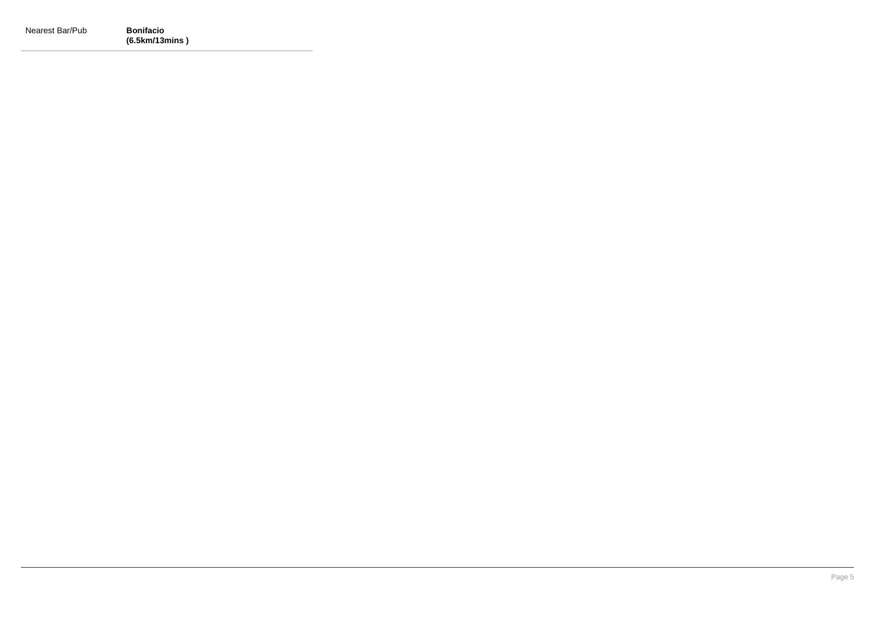| Nearest Bar/Pub | <b>Bonifacio</b> |
|-----------------|------------------|
|                 | (6.5km/13mins)   |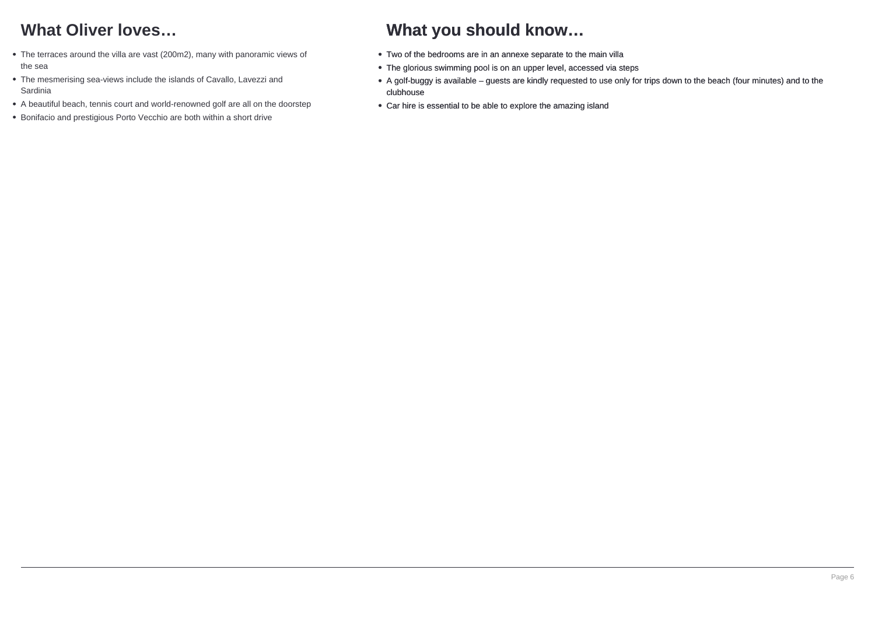## **What Oliver loves…**

- The terraces around the villa are vast (200m2), many with panoramic views of the sea
- The mesmerising sea-views include the islands of Cavallo, Lavezzi and Sardinia
- A beautiful beach, tennis court and world-renowned golf are all on the doorstep
- Bonifacio and prestigious Porto Vecchio are both within a short drive

## **What you should know…**

- Two of the bedrooms are in an annexe separate to the main villa
- The glorious swimming pool is on an upper level, accessed via steps
- A golf-buggy is available guests are kindly requested to use only for trips down to the beach (four minutes) and to the clubhouse
- Car hire is essential to be able to explore the amazing island